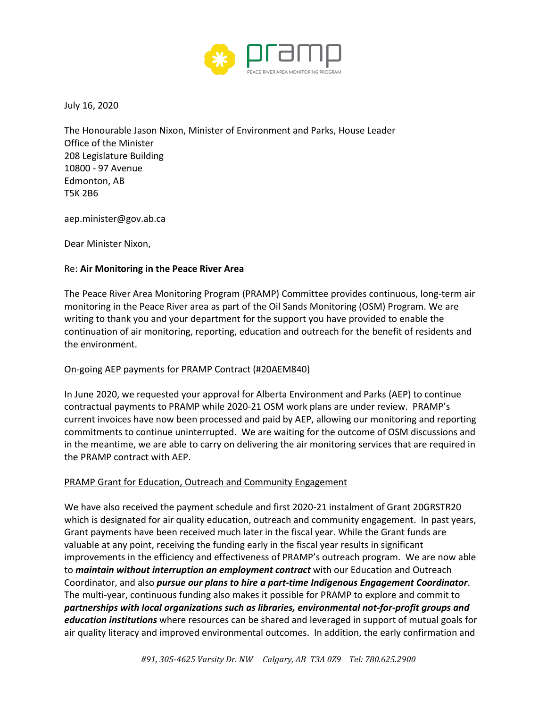

July 16, 2020

The Honourable Jason Nixon, Minister of Environment and Parks, House Leader Office of the Minister 208 Legislature Building 10800 - 97 Avenue Edmonton, AB T5K 2B6

aep.minister@gov.ab.ca

Dear Minister Nixon,

## Re: **Air Monitoring in the Peace River Area**

The Peace River Area Monitoring Program (PRAMP) Committee provides continuous, long-term air monitoring in the Peace River area as part of the Oil Sands Monitoring (OSM) Program. We are writing to thank you and your department for the support you have provided to enable the continuation of air monitoring, reporting, education and outreach for the benefit of residents and the environment.

## On-going AEP payments for PRAMP Contract (#20AEM840)

In June 2020, we requested your approval for Alberta Environment and Parks (AEP) to continue contractual payments to PRAMP while 2020-21 OSM work plans are under review. PRAMP's current invoices have now been processed and paid by AEP, allowing our monitoring and reporting commitments to continue uninterrupted. We are waiting for the outcome of OSM discussions and in the meantime, we are able to carry on delivering the air monitoring services that are required in the PRAMP contract with AEP.

## PRAMP Grant for Education, Outreach and Community Engagement

We have also received the payment schedule and first 2020-21 instalment of Grant 20GRSTR20 which is designated for air quality education, outreach and community engagement. In past years, Grant payments have been received much later in the fiscal year. While the Grant funds are valuable at any point, receiving the funding early in the fiscal year results in significant improvements in the efficiency and effectiveness of PRAMP's outreach program. We are now able to *maintain without interruption an employment contract* with our Education and Outreach Coordinator, and also *pursue our plans to hire a part-time Indigenous Engagement Coordinator*. The multi-year, continuous funding also makes it possible for PRAMP to explore and commit to *partnerships with local organizations such as libraries, environmental not-for-profit groups and education institutions* where resources can be shared and leveraged in support of mutual goals for air quality literacy and improved environmental outcomes. In addition, the early confirmation and